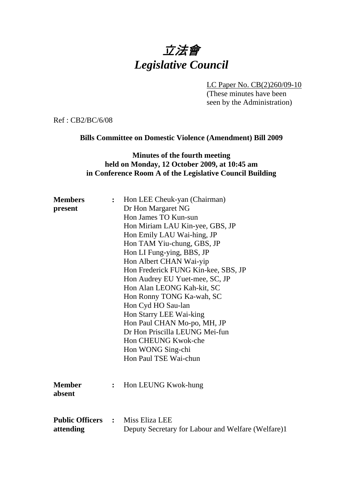# 立法會 *Legislative Council*

LC Paper No. CB(2)260/09-10

(These minutes have been seen by the Administration)

Ref : CB2/BC/6/08

## **Bills Committee on Domestic Violence (Amendment) Bill 2009**

## **Minutes of the fourth meeting held on Monday, 12 October 2009, at 10:45 am in Conference Room A of the Legislative Council Building**

| <b>Members</b>                          |                | Hon LEE Cheuk-yan (Chairman)                       |
|-----------------------------------------|----------------|----------------------------------------------------|
| present                                 |                | Dr Hon Margaret NG                                 |
|                                         |                | Hon James TO Kun-sun                               |
|                                         |                | Hon Miriam LAU Kin-yee, GBS, JP                    |
|                                         |                | Hon Emily LAU Wai-hing, JP                         |
|                                         |                | Hon TAM Yiu-chung, GBS, JP                         |
|                                         |                | Hon LI Fung-ying, BBS, JP                          |
|                                         |                | Hon Albert CHAN Wai-yip                            |
|                                         |                | Hon Frederick FUNG Kin-kee, SBS, JP                |
|                                         |                | Hon Audrey EU Yuet-mee, SC, JP                     |
|                                         |                | Hon Alan LEONG Kah-kit, SC                         |
|                                         |                | Hon Ronny TONG Ka-wah, SC                          |
|                                         |                | Hon Cyd HO Sau-lan                                 |
|                                         |                | Hon Starry LEE Wai-king                            |
|                                         |                | Hon Paul CHAN Mo-po, MH, JP                        |
|                                         |                | Dr Hon Priscilla LEUNG Mei-fun                     |
|                                         |                | Hon CHEUNG Kwok-che                                |
|                                         |                | Hon WONG Sing-chi                                  |
|                                         |                | Hon Paul TSE Wai-chun                              |
|                                         |                |                                                    |
|                                         |                |                                                    |
| <b>Member</b>                           | $\ddot{\cdot}$ | Hon LEUNG Kwok-hung                                |
| absent                                  |                |                                                    |
|                                         |                |                                                    |
|                                         |                |                                                    |
| <b>Public Officers : Miss Eliza LEE</b> |                |                                                    |
| attending                               |                | Deputy Secretary for Labour and Welfare (Welfare)1 |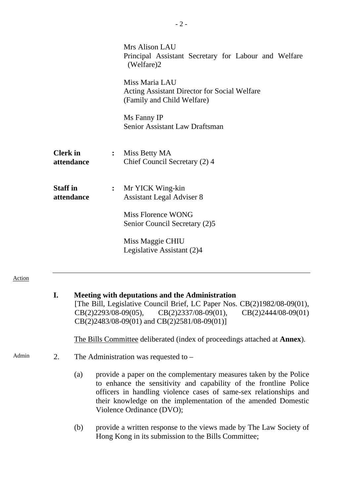|                               |                                                                                                     | Mrs Alison LAU<br>Principal Assistant Secretary for Labour and Welfare<br>(Welfare)2 |
|-------------------------------|-----------------------------------------------------------------------------------------------------|--------------------------------------------------------------------------------------|
|                               | Miss Maria LAU<br><b>Acting Assistant Director for Social Welfare</b><br>(Family and Child Welfare) |                                                                                      |
|                               |                                                                                                     | Ms Fanny IP<br>Senior Assistant Law Draftsman                                        |
| <b>Clerk</b> in<br>attendance | $\ddot{\cdot}$                                                                                      | Miss Betty MA<br>Chief Council Secretary (2) 4                                       |
| <b>Staff</b> in<br>attendance | $\ddot{\cdot}$                                                                                      | Mr YICK Wing-kin<br><b>Assistant Legal Adviser 8</b>                                 |
|                               |                                                                                                     | Miss Florence WONG<br>Senior Council Secretary (2)5                                  |
|                               |                                                                                                     | Miss Maggie CHIU<br>Legislative Assistant (2)4                                       |

#### Action

## **I. Meeting with deputations and the Administration**

[The Bill, Legislative Council Brief, LC Paper Nos. CB(2)1982/08-09(01), CB(2)2293/08-09(05), CB(2)2337/08-09(01), CB(2)2444/08-09(01) CB(2)2483/08-09(01) and CB(2)2581/08-09(01)]

1. The Bills Committee deliberated (index of proceedings attached at **Annex**).

- Admin 2. The Administration was requested to  $-$ 
	- (a) provide a paper on the complementary measures taken by the Police to enhance the sensitivity and capability of the frontline Police officers in handling violence cases of same-sex relationships and their knowledge on the implementation of the amended Domestic Violence Ordinance (DVO);
	- (b) provide a written response to the views made by The Law Society of Hong Kong in its submission to the Bills Committee;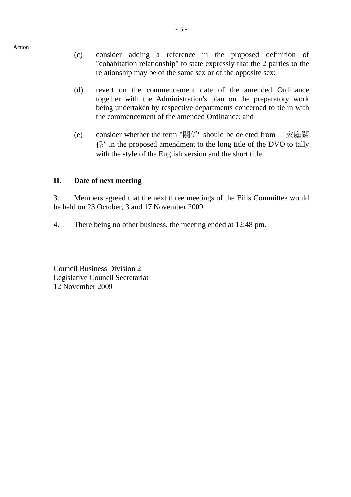- (c) consider adding a reference in the proposed definition of "cohabitation relationship" to state expressly that the 2 parties to the relationship may be of the same sex or of the opposite sex;
- (d) revert on the commencement date of the amended Ordinance together with the Administration's plan on the preparatory work being undertaken by respective departments concerned to tie in with the commencement of the amended Ordinance; and
- (e) consider whether the term "關係" should be deleted from "家庭關 係" in the proposed amendment to the long title of the DVO to tally with the style of the English version and the short title.

### **II. Date of next meeting**

3. Members agreed that the next three meetings of the Bills Committee would be held on 23 October, 3 and 17 November 2009.

4. There being no other business, the meeting ended at 12:48 pm.

Council Business Division 2 Legislative Council Secretariat 12 November 2009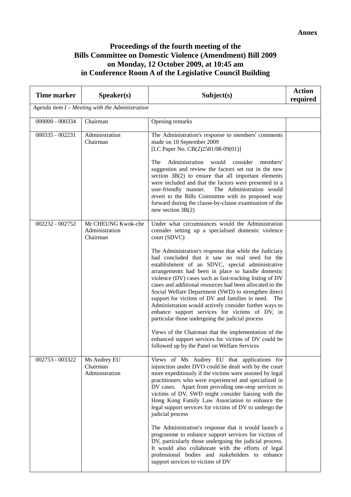## **Proceedings of the fourth meeting of the Bills Committee on Domestic Violence (Amendment) Bill 2009 on Monday, 12 October 2009, at 10:45 am in Conference Room A of the Legislative Council Building**

| <b>Time marker</b>                                | Speaker(s)                                       | Subject(s)                                                                                                                                                                                                                                                                                                                                                                                                                                                                                                                                                                                                                                                                                                                                                                                                                                                                                                             | <b>Action</b><br>required |  |
|---------------------------------------------------|--------------------------------------------------|------------------------------------------------------------------------------------------------------------------------------------------------------------------------------------------------------------------------------------------------------------------------------------------------------------------------------------------------------------------------------------------------------------------------------------------------------------------------------------------------------------------------------------------------------------------------------------------------------------------------------------------------------------------------------------------------------------------------------------------------------------------------------------------------------------------------------------------------------------------------------------------------------------------------|---------------------------|--|
| Agenda item $I$ – Meeting with the Administration |                                                  |                                                                                                                                                                                                                                                                                                                                                                                                                                                                                                                                                                                                                                                                                                                                                                                                                                                                                                                        |                           |  |
| 000000 - 000334                                   | Chairman                                         | Opening remarks                                                                                                                                                                                                                                                                                                                                                                                                                                                                                                                                                                                                                                                                                                                                                                                                                                                                                                        |                           |  |
| $000335 - 002231$                                 | Administration<br>Chairman                       | The Administration's response to members' comments<br>made on 10 September 2009<br>[LC Paper No. CB(2)2581/08-09(01)]<br>The<br>Administration<br>would<br>consider<br>members'<br>suggestion and review the factors set out in the new<br>section $3B(2)$ to ensure that all important elements<br>were included and that the factors were presented in a<br>user-friendly manner.<br>The Administration would<br>revert to the Bills Committee with its proposed way<br>forward during the clause-by-clause examination of the<br>new section $3B(2)$                                                                                                                                                                                                                                                                                                                                                                |                           |  |
| 002232 - 002752                                   | Mr CHEUNG Kwok-che<br>Administration<br>Chairman | Under what circumstances would the Administration<br>consider setting up a specialised domestic violence<br>court (SDVC)<br>The Administration's response that while the Judiciary<br>had concluded that it saw no real need for the<br>establishment of an SDVC, special administrative<br>arrangements had been in place to handle domestic<br>violence (DV) cases such as fast-tracking listing of DV<br>cases and additional resources had been allocated to the<br>Social Welfare Department (SWD) to strengthen direct<br>support for victims of DV and families in need.<br>The<br>Administration would actively consider further ways to<br>enhance support services for victims of DV, in<br>particular those undergoing the judicial process<br>Views of the Chairman that the implementation of the<br>enhanced support services for victims of DV could be<br>followed up by the Panel on Welfare Services |                           |  |
| 002753 - 003322                                   | Ms Audrey EU<br>Chairman<br>Administration       | Views of Ms Audrey EU that applications for<br>injunction under DVO could be dealt with by the court<br>more expeditiously if the victims were assisted by legal<br>practitioners who were experienced and specialized in<br>DV cases. Apart from providing one-stop services to<br>victims of DV, SWD might consider liaising with the<br>Hong Kong Family Law Association to enhance the<br>legal support services for victims of DV to undergo the<br>judicial process<br>The Administration's response that it would launch a<br>programme to enhance support services for victims of<br>DV, particularly those undergoing the judicial process.<br>It would also collaborate with the efforts of legal<br>professional bodies and stakeholders to enhance<br>support services to victims of DV                                                                                                                    |                           |  |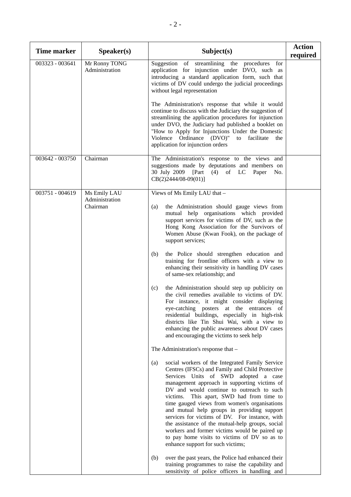| <b>Time marker</b> | S <sub>p</sub> e <sub>aker(s)</sub>        | Subject(s)                                                                                                                                                                                                                                                                                                                                                                                                                                                                                                                                                                                                                                                                                                                                                                                                                                                                                                                                                                                                                                                                                                                                                                                                                                                                                                                                                                                                                                                                                                                                                                         | <b>Action</b><br>required |
|--------------------|--------------------------------------------|------------------------------------------------------------------------------------------------------------------------------------------------------------------------------------------------------------------------------------------------------------------------------------------------------------------------------------------------------------------------------------------------------------------------------------------------------------------------------------------------------------------------------------------------------------------------------------------------------------------------------------------------------------------------------------------------------------------------------------------------------------------------------------------------------------------------------------------------------------------------------------------------------------------------------------------------------------------------------------------------------------------------------------------------------------------------------------------------------------------------------------------------------------------------------------------------------------------------------------------------------------------------------------------------------------------------------------------------------------------------------------------------------------------------------------------------------------------------------------------------------------------------------------------------------------------------------------|---------------------------|
| 003323 - 003641    | Mr Ronny TONG<br>Administration            | Suggestion of streamlining the procedures for<br>application for injunction under DVO, such as<br>introducing a standard application form, such that<br>victims of DV could undergo the judicial proceedings<br>without legal representation<br>The Administration's response that while it would                                                                                                                                                                                                                                                                                                                                                                                                                                                                                                                                                                                                                                                                                                                                                                                                                                                                                                                                                                                                                                                                                                                                                                                                                                                                                  |                           |
|                    |                                            | continue to discuss with the Judiciary the suggestion of<br>streamlining the application procedures for injunction<br>under DVO, the Judiciary had published a booklet on<br>"How to Apply for Injunctions Under the Domestic<br>Violence Ordinance (DVO)"<br>to facilitate<br>the<br>application for injunction orders                                                                                                                                                                                                                                                                                                                                                                                                                                                                                                                                                                                                                                                                                                                                                                                                                                                                                                                                                                                                                                                                                                                                                                                                                                                            |                           |
| 003642 - 003750    | Chairman                                   | The Administration's response to the views and<br>suggestions made by deputations and members on<br>30 July 2009<br>[Part]<br>(4)<br>of LC<br>Paper<br>No.<br>CB(2)2444/08-09(01)]                                                                                                                                                                                                                                                                                                                                                                                                                                                                                                                                                                                                                                                                                                                                                                                                                                                                                                                                                                                                                                                                                                                                                                                                                                                                                                                                                                                                 |                           |
| 003751 - 004619    | Ms Emily LAU<br>Administration<br>Chairman | Views of Ms Emily LAU that -<br>the Administration should gauge views from<br>(a)<br>mutual help organisations which provided<br>support services for victims of DV, such as the<br>Hong Kong Association for the Survivors of<br>Women Abuse (Kwan Fook), on the package of<br>support services;<br>the Police should strengthen education and<br>(b)<br>training for frontline officers with a view to<br>enhancing their sensitivity in handling DV cases<br>of same-sex relationship; and<br>the Administration should step up publicity on<br>(c)<br>the civil remedies available to victims of DV.<br>For instance, it might consider displaying<br>eye-catching posters at the entrances of<br>residential buildings, especially in high-risk<br>districts like Tin Shui Wai, with a view to<br>enhancing the public awareness about DV cases<br>and encouraging the victims to seek help<br>The Administration's response that -<br>social workers of the Integrated Family Service<br>(a)<br>Centres (IFSCs) and Family and Child Protective<br>Services Units of SWD adopted a case<br>management approach in supporting victims of<br>DV and would continue to outreach to such<br>victims. This apart, SWD had from time to<br>time gauged views from women's organisations<br>and mutual help groups in providing support<br>services for victims of DV. For instance, with<br>the assistance of the mutual-help groups, social<br>workers and former victims would be paired up<br>to pay home visits to victims of DV so as to<br>enhance support for such victims; |                           |
|                    |                                            | over the past years, the Police had enhanced their<br>(b)<br>training programmes to raise the capability and<br>sensitivity of police officers in handling and                                                                                                                                                                                                                                                                                                                                                                                                                                                                                                                                                                                                                                                                                                                                                                                                                                                                                                                                                                                                                                                                                                                                                                                                                                                                                                                                                                                                                     |                           |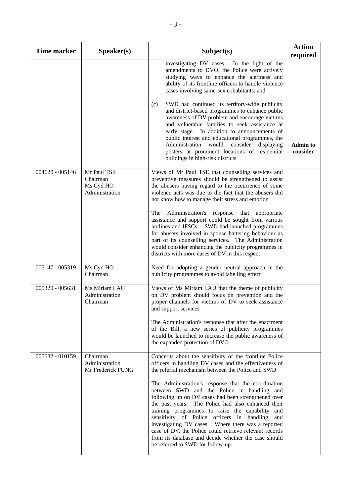| <b>Time marker</b> | Speaker(s)                                             | Subject(s)                                                                                                                                                                                                                                                                                                                                                                                                                                                                                                                                                                                                                                                                                                  | <b>Action</b><br>required   |
|--------------------|--------------------------------------------------------|-------------------------------------------------------------------------------------------------------------------------------------------------------------------------------------------------------------------------------------------------------------------------------------------------------------------------------------------------------------------------------------------------------------------------------------------------------------------------------------------------------------------------------------------------------------------------------------------------------------------------------------------------------------------------------------------------------------|-----------------------------|
|                    |                                                        | investigating DV cases. In the light of the<br>amendments to DVO, the Police were actively<br>studying ways to enhance the alertness and<br>ability of its frontline officers to handle violence<br>cases involving same-sex cohabitants; and<br>SWD had continued its territory-wide publicity<br>(c)<br>and district-based programmes to enhance public<br>awareness of DV problem and encourage victims<br>and vulnerable families to seek assistance at<br>early stage. In addition to announcements of<br>public interest and educational programmes, the<br>Administration<br>would<br>consider<br>displaying<br>posters at prominent locations of residential<br>buildings in high-risk districts    | <b>Admin to</b><br>consider |
| $004620 - 005146$  | Mr Paul TSE<br>Chairman<br>Ms Cyd HO<br>Administration | Views of Mr Paul TSE that counselling services and<br>preventive measures should be strengthened to assist<br>the abusers having regard to the occurrence of some<br>violence acts was due to the fact that the abusers did<br>not know how to manage their stress and emotion<br>The<br>Administration's response<br>that<br>appropriate<br>assistance and support could be sought from various<br>hotlines and IFSCs. SWD had launched programmes<br>for abusers involved in spouse battering behaviour as<br>part of its counselling services. The Administration<br>would consider enhancing the publicity programmes in<br>districts with more cases of DV in this respect                             |                             |
| 005147 - 005319    | Ms Cyd HO<br>Chairman                                  | Need for adopting a gender neutral approach in the<br>publicity programmes to avoid labelling effect                                                                                                                                                                                                                                                                                                                                                                                                                                                                                                                                                                                                        |                             |
| 005320 - 005631    | Ms Miriam LAU<br>Administration<br>Chairman            | Views of Ms Miriam LAU that the theme of publicity<br>on DV problem should focus on prevention and the<br>proper channels for victims of DV to seek assistance<br>and support services<br>The Administration's response that after the enactment<br>of the Bill, a new series of publicity programmes<br>would be launched to increase the public awareness of<br>the expanded protection of DVO                                                                                                                                                                                                                                                                                                            |                             |
| 005632 - 010159    | Chairman<br>Administration<br>Mr Frederick FUNG        | Concerns about the sensitivity of the frontline Police<br>officers in handling DV cases and the effectiveness of<br>the referral mechanism between the Police and SWD<br>The Administration's response that the coordination<br>between SWD and the Police in handling and<br>following up on DV cases had been strengthened over<br>the past years. The Police had also enhanced their<br>training programmes to raise the capability and<br>sensitivity of Police officers in handling<br>and<br>investigating DV cases. Where there was a reported<br>case of DV, the Police could retrieve relevant records<br>from its database and decide whether the case should<br>be referred to SWD for follow-up |                             |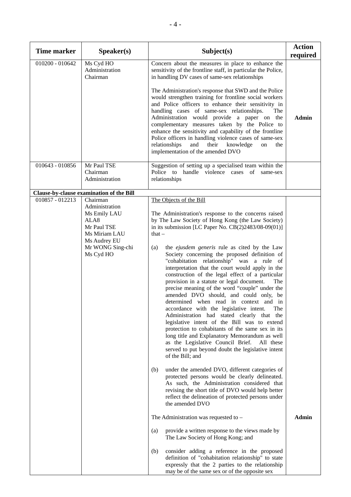| <b>Time marker</b> | Speaker(s)                                                                                                                          | Subject(s)                                                                                                                                                                                                                                                                                                                                                                                                                                                                                                                                                                                                                                                                                                                                                                                                                                                                                                                                                                                                                                         | <b>Action</b><br>required |
|--------------------|-------------------------------------------------------------------------------------------------------------------------------------|----------------------------------------------------------------------------------------------------------------------------------------------------------------------------------------------------------------------------------------------------------------------------------------------------------------------------------------------------------------------------------------------------------------------------------------------------------------------------------------------------------------------------------------------------------------------------------------------------------------------------------------------------------------------------------------------------------------------------------------------------------------------------------------------------------------------------------------------------------------------------------------------------------------------------------------------------------------------------------------------------------------------------------------------------|---------------------------|
| 010200 - 010642    | Ms Cyd HO<br>Administration<br>Chairman                                                                                             | Concern about the measures in place to enhance the<br>sensitivity of the frontline staff, in particular the Police,<br>in handling DV cases of same-sex relationships<br>The Administration's response that SWD and the Police<br>would strengthen training for frontline social workers<br>and Police officers to enhance their sensitivity in<br>handling cases of same-sex relationships.<br>The<br>Administration would provide a paper on the<br>complementary measures taken by the Police to<br>enhance the sensitivity and capability of the frontline<br>Police officers in handling violence cases of same-sex<br>and<br>knowledge<br>relationships<br>their<br>on<br>the<br>implementation of the amended DVO                                                                                                                                                                                                                                                                                                                           | <b>Admin</b>              |
| 010643 - 010856    | Mr Paul TSE<br>Chairman<br>Administration                                                                                           | Suggestion of setting up a specialised team within the<br>Police to handle violence cases of<br>same-sex<br>relationships                                                                                                                                                                                                                                                                                                                                                                                                                                                                                                                                                                                                                                                                                                                                                                                                                                                                                                                          |                           |
|                    | Clause-by-clause examination of the Bill                                                                                            |                                                                                                                                                                                                                                                                                                                                                                                                                                                                                                                                                                                                                                                                                                                                                                                                                                                                                                                                                                                                                                                    |                           |
| 010857 - 012213    | Chairman<br>Administration<br>Ms Emily LAU<br>ALA8<br>Mr Paul TSE<br>Ms Miriam LAU<br>Ms Audrey EU<br>Mr WONG Sing-chi<br>Ms Cyd HO | The Objects of the Bill<br>The Administration's response to the concerns raised<br>by The Law Society of Hong Kong (the Law Society)<br>in its submission [LC Paper No. $CB(2)2483/08-09(01)$ ]<br>that $-$<br>the ejusdem generis rule as cited by the Law<br>(a)<br>Society concerning the proposed definition of<br>"cohabitation relationship" was a rule of<br>interpretation that the court would apply in the<br>construction of the legal effect of a particular<br>provision in a statute or legal document.<br>The<br>precise meaning of the word "couple" under the<br>amended DVO should, and could only, be<br>determined when read in context and in<br>accordance with the legislative intent.<br>The<br>Administration had stated clearly that the<br>legislative intent of the Bill was to extend<br>protection to cohabitants of the same sex in its<br>long title and Explanatory Memorandum as well<br>as the Legislative Council Brief.<br>All these<br>served to put beyond doubt the legislative intent<br>of the Bill; and |                           |
|                    |                                                                                                                                     | (b)<br>under the amended DVO, different categories of<br>protected persons would be clearly delineated.<br>As such, the Administration considered that<br>revising the short title of DVO would help better<br>reflect the delineation of protected persons under<br>the amended DVO<br>The Administration was requested to $-$<br>(a)<br>provide a written response to the views made by<br>The Law Society of Hong Kong; and                                                                                                                                                                                                                                                                                                                                                                                                                                                                                                                                                                                                                     | Admin                     |
|                    |                                                                                                                                     | consider adding a reference in the proposed<br>(b)<br>definition of "cohabitation relationship" to state<br>expressly that the 2 parties to the relationship<br>may be of the same sex or of the opposite sex                                                                                                                                                                                                                                                                                                                                                                                                                                                                                                                                                                                                                                                                                                                                                                                                                                      |                           |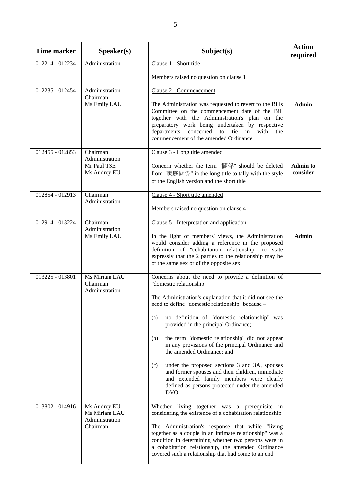| <b>Time marker</b> | Speaker(s)                                                  | Subject(s)                                                                                                                                                                                                                                                                                                                                                                                                                                                                                                                                                                                                                                                       | <b>Action</b><br>required   |
|--------------------|-------------------------------------------------------------|------------------------------------------------------------------------------------------------------------------------------------------------------------------------------------------------------------------------------------------------------------------------------------------------------------------------------------------------------------------------------------------------------------------------------------------------------------------------------------------------------------------------------------------------------------------------------------------------------------------------------------------------------------------|-----------------------------|
| 012214 - 012234    | Administration                                              | Clause 1 - Short title                                                                                                                                                                                                                                                                                                                                                                                                                                                                                                                                                                                                                                           |                             |
|                    |                                                             | Members raised no question on clause 1                                                                                                                                                                                                                                                                                                                                                                                                                                                                                                                                                                                                                           |                             |
| 012235 - 012454    | Administration<br>Chairman<br>Ms Emily LAU                  | Clause 2 - Commencement<br>The Administration was requested to revert to the Bills<br>Committee on the commencement date of the Bill<br>together with the Administration's plan on the<br>preparatory work being undertaken by respective<br>departments concerned to tie in<br>with<br>the<br>commencement of the amended Ordinance                                                                                                                                                                                                                                                                                                                             | <b>Admin</b>                |
| 012455 - 012853    | Chairman<br>Administration<br>Mr Paul TSE<br>Ms Audrey EU   | Clause 3 - Long title amended<br>Concern whether the term "關係" should be deleted<br>from "家庭關係" in the long title to tally with the style<br>of the English version and the short title                                                                                                                                                                                                                                                                                                                                                                                                                                                                          | <b>Admin to</b><br>consider |
| 012854 - 012913    | Chairman<br>Administration                                  | Clause 4 - Short title amended<br>Members raised no question on clause 4                                                                                                                                                                                                                                                                                                                                                                                                                                                                                                                                                                                         |                             |
| 012914 - 013224    | Chairman<br>Administration<br>Ms Emily LAU                  | Clause 5 - Interpretation and application<br>In the light of members' views, the Administration<br>would consider adding a reference in the proposed<br>definition of "cohabitation relationship" to state<br>expressly that the 2 parties to the relationship may be<br>of the same sex or of the opposite sex                                                                                                                                                                                                                                                                                                                                                  | <b>Admin</b>                |
| 013225 - 013801    | Ms Miriam LAU<br>Chairman<br>Administration                 | Concerns about the need to provide a definition of<br>"domestic relationship"<br>The Administration's explanation that it did not see the<br>need to define "domestic relationship" because -<br>no definition of "domestic relationship" was<br>(a)<br>provided in the principal Ordinance;<br>(b)<br>the term "domestic relationship" did not appear<br>in any provisions of the principal Ordinance and<br>the amended Ordinance; and<br>under the proposed sections 3 and 3A, spouses<br>(c)<br>and former spouses and their children, immediate<br>and extended family members were clearly<br>defined as persons protected under the amended<br><b>DVO</b> |                             |
| 013802 - 014916    | Ms Audrey EU<br>Ms Miriam LAU<br>Administration<br>Chairman | Whether living together was a prerequisite in<br>considering the existence of a cohabitation relationship<br>The Administration's response that while "living<br>together as a couple in an intimate relationship" was a<br>condition in determining whether two persons were in<br>a cohabitation relationship, the amended Ordinance<br>covered such a relationship that had come to an end                                                                                                                                                                                                                                                                    |                             |